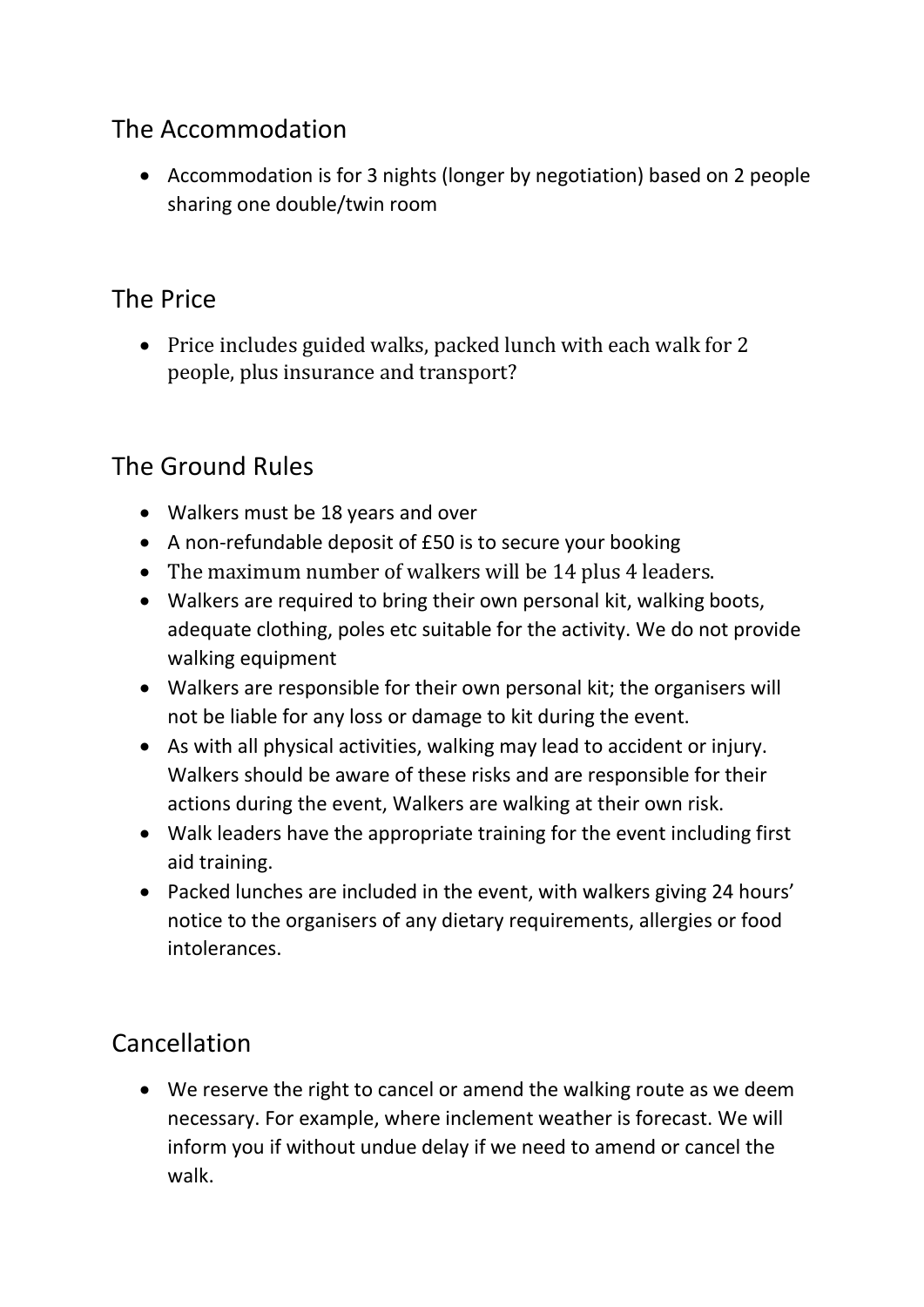## The Accommodation

• Accommodation is for 3 nights (longer by negotiation) based on 2 people sharing one double/twin room

## The Price

• Price includes guided walks, packed lunch with each walk for 2 people, plus insurance and transport?

## The Ground Rules

- Walkers must be 18 years and over
- A non-refundable deposit of £50 is to secure your booking
- The maximum number of walkers will be 14 plus 4 leaders.
- Walkers are required to bring their own personal kit, walking boots, adequate clothing, poles etc suitable for the activity. We do not provide walking equipment
- Walkers are responsible for their own personal kit; the organisers will not be liable for any loss or damage to kit during the event.
- As with all physical activities, walking may lead to accident or injury. Walkers should be aware of these risks and are responsible for their actions during the event, Walkers are walking at their own risk.
- Walk leaders have the appropriate training for the event including first aid training.
- Packed lunches are included in the event, with walkers giving 24 hours' notice to the organisers of any dietary requirements, allergies or food intolerances.

## Cancellation

• We reserve the right to cancel or amend the walking route as we deem necessary. For example, where inclement weather is forecast. We will inform you if without undue delay if we need to amend or cancel the walk.